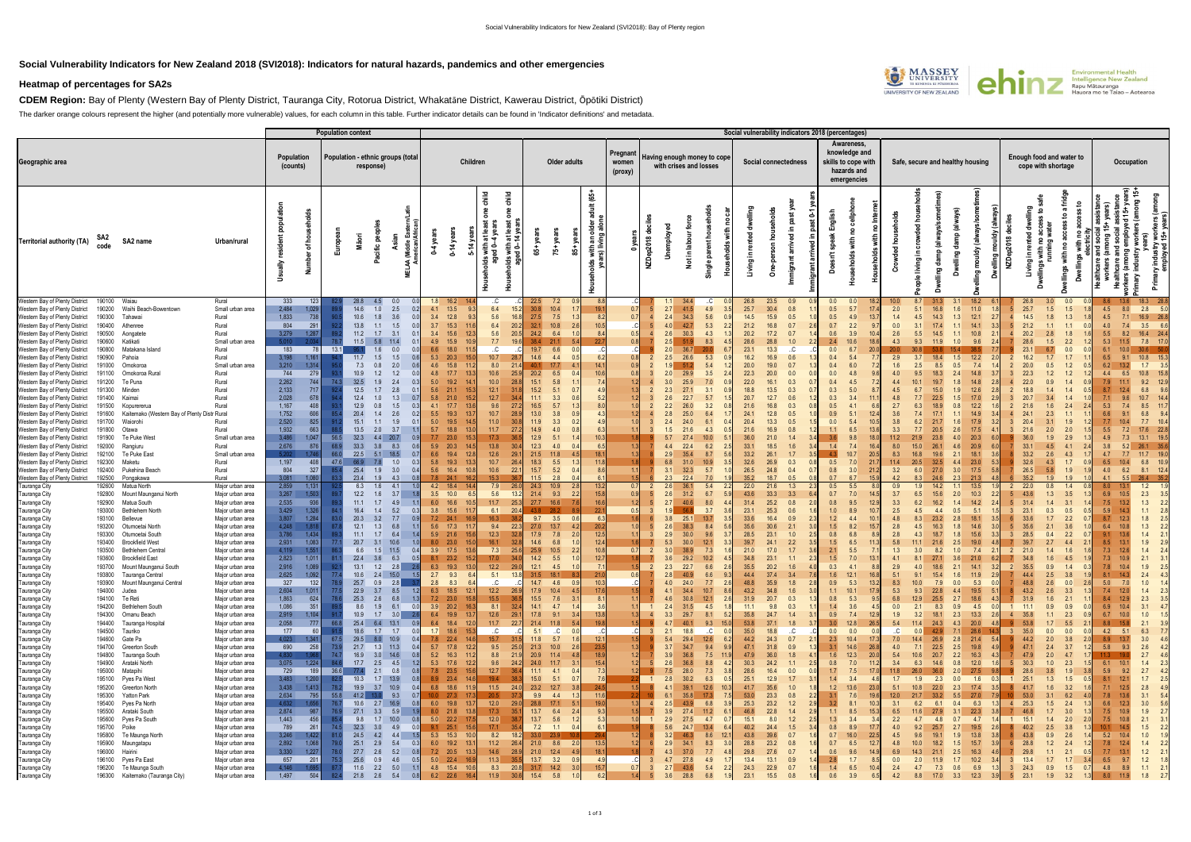## **Social Vulnerability Indicators for New Zealand 2018 (SVI2018): Indicators for natural hazards, pandemics and other emergencies**

## **Heatmap of percentages for SA2s**

**CDEM Region:** Bay of Plenty (Western Bay of Plenty District, Tauranga City, Rotorua District, Whakatāne District, Kawerau District, Ōpōtiki District) The darker orange colours represent the higher (and potentially more vulnerable) values, for each column in this table. Further indicator details can be found in 'Indicator definitions' and metadata.

|                                                                                                                                                                                                                                                                                                                                                                                                                                                                                                                                                                                                                                                                                                                               |                                                                                                                                                                                                                          |                                                                                                                                                                                                    | <b>Population context</b>                                        |                                                                                                                                                                    |                                                                                                                                                          |                                                                                                                                                                                            |                                                    |                                                                                                                                                                     |                                                                                                           |                                                                                                                                |                                                                           |                                        |                                  |                                                                                                                                                                      |                                                                                                                                 |                                                                                              | Social vulnerability indicators 2018 (percentages)                                                                                                               |                                                                                         |                                                                                                                                                                    |                                                                             |                                                                                 |                                                                                                                                                                                    |                                                                                                                                       |                                                                  |                                                                                                                                                                         |                                                                    |                                                                            |                                                                                                                                                                                                             |  |  |  |  |
|-------------------------------------------------------------------------------------------------------------------------------------------------------------------------------------------------------------------------------------------------------------------------------------------------------------------------------------------------------------------------------------------------------------------------------------------------------------------------------------------------------------------------------------------------------------------------------------------------------------------------------------------------------------------------------------------------------------------------------|--------------------------------------------------------------------------------------------------------------------------------------------------------------------------------------------------------------------------|----------------------------------------------------------------------------------------------------------------------------------------------------------------------------------------------------|------------------------------------------------------------------|--------------------------------------------------------------------------------------------------------------------------------------------------------------------|----------------------------------------------------------------------------------------------------------------------------------------------------------|--------------------------------------------------------------------------------------------------------------------------------------------------------------------------------------------|----------------------------------------------------|---------------------------------------------------------------------------------------------------------------------------------------------------------------------|-----------------------------------------------------------------------------------------------------------|--------------------------------------------------------------------------------------------------------------------------------|---------------------------------------------------------------------------|----------------------------------------|----------------------------------|----------------------------------------------------------------------------------------------------------------------------------------------------------------------|---------------------------------------------------------------------------------------------------------------------------------|----------------------------------------------------------------------------------------------|------------------------------------------------------------------------------------------------------------------------------------------------------------------|-----------------------------------------------------------------------------------------|--------------------------------------------------------------------------------------------------------------------------------------------------------------------|-----------------------------------------------------------------------------|---------------------------------------------------------------------------------|------------------------------------------------------------------------------------------------------------------------------------------------------------------------------------|---------------------------------------------------------------------------------------------------------------------------------------|------------------------------------------------------------------|-------------------------------------------------------------------------------------------------------------------------------------------------------------------------|--------------------------------------------------------------------|----------------------------------------------------------------------------|-------------------------------------------------------------------------------------------------------------------------------------------------------------------------------------------------------------|--|--|--|--|
| Geographic area                                                                                                                                                                                                                                                                                                                                                                                                                                                                                                                                                                                                                                                                                                               | Population<br>Population - ethnic groups (total<br>(counts)<br>response)                                                                                                                                                 |                                                                                                                                                                                                    |                                                                  |                                                                                                                                                                    | Children                                                                                                                                                 |                                                                                                                                                                                            | Older adults                                       |                                                                                                                                                                     | Pregnant<br>women<br>(proxy)                                                                              |                                                                                                                                | Having enough money to cope<br>with crises and losses                     |                                        |                                  | Social connectedness                                                                                                                                                 |                                                                                                                                 | Awareness,<br>knowledge and<br>skills to cope with<br>hazards and<br>emergencies             |                                                                                                                                                                  | Safe, secure and healthy housing                                                        |                                                                                                                                                                    |                                                                             |                                                                                 | Enough food and water to<br>cope with shortage                                                                                                                                     | Occupation                                                                                                                            |                                                                  |                                                                                                                                                                         |                                                                    |                                                                            |                                                                                                                                                                                                             |  |  |  |  |
| SA2<br>code<br>Territorial authority (TA)<br>SA2 name                                                                                                                                                                                                                                                                                                                                                                                                                                                                                                                                                                                                                                                                         | Urban/rural                                                                                                                                                                                                              | ofho<br>₹                                                                                                                                                                                          |                                                                  | Pacific peop<br>Māori                                                                                                                                              |                                                                                                                                                          | $0-14$ ye                                                                                                                                                                                  | aind<br>៖<br>오                                     | with at lea<br>led 0-4 yea<br>lds with at I<br>aged 0–14<br>eholds<br>age                                                                                           | $\overline{65}$                                                                                           | year<br>-57                                                                                                                    | <u>යි</u><br>Ĩ.                                                           | ల్లి                                   | NZDep2018 de                     | mployed<br>ਫ਼ੋ<br>Not in labo<br>Š                                                                                                                                   | 信<br>오<br>$\overline{5}$<br>Single                                                                                              | .드<br>o                                                                                      | 显<br>ء.<br>ᄝ<br>arriv<br>lmmigi<br>ō                                                                                                                             | Σ<br>rrived                                                                             | ith<br>olds<br>운                                                                                                                                                   | 오<br>င်                                                                     | ১<br>르.<br>living                                                               | damp (alv<br>lling<br>!<br>ó                                                                                                                                                       | 훀<br>రా<br>ó                                                                                                                          | NZDep2018                                                        | running<br>≘.<br>Living                                                                                                                                                 | ŧ<br><b>Sigu</b><br>$\Box$                                         | ਵਿੱ                                                                        | +years)<br>ong 15+<br>ē                                                                                                                                                                                     |  |  |  |  |
| Western Bay of Plenty District<br>190100 Waiau<br>Waihi Beach-Bowentown<br>190200<br>Western Bay of Plenty District<br>Western Bay of Plenty District<br>190300<br>Tahawai<br>Western Bay of Plenty District<br>190400<br>Athenree<br>Western Bay of Plenty District<br>190500<br>Aongatete<br>Western Bay of Plenty District<br>190600<br>Katikati<br>Western Bay of Plenty District<br>Matakana Island<br>190800<br>Western Bay of Plenty District<br>190900<br>Pahoia<br>Western Bay of Plenty District<br>191000<br>Omokoroa<br>Western Bay of Plenty District<br>191100<br>Omokoroa Rural<br>Te Puna<br>Western Bay of Plenty District<br>191200<br>Western Bay of Plenty District<br>Minden<br>191300                   | Rural<br>Small urban area<br>Rural<br>Rural<br>Rural<br>Small urban area<br>Rural<br>Rural<br>Small urban area<br>Rural<br>Rural<br>Rural                                                                                | 333<br>123<br>2,484<br>1,029<br>1,833<br>738<br>804<br>291<br>3,279<br>1,287<br>5010<br>2.03<br>183<br>78<br>3,198<br>1,161<br>3,210<br>1,314<br>744<br>279<br>2,262<br>744<br>2,133<br>717        | 13.1                                                             | 28.8<br>14.6<br>1.0<br>10.6<br>1.8<br>13.8<br>1.1<br>$11.2$<br>1.7<br>11.5<br>5.8<br>1.6<br>1.5<br>11.7<br>7.3<br>0.8<br>10.9<br>1.2<br>32.5<br>1.9<br>12.5<br>1.7 | 2.5<br>3.6<br>0.0<br>1.5<br>3.1<br>11.4<br>$\overline{0}$<br>0.0<br>1.5<br>2.0<br>1.2<br>2.4<br>2.8<br>$\Omega$                                          | 16.2<br>1.8<br>4.1<br>13.5<br>3.4<br>12.8<br>3.7<br>15.3<br>3.4<br>15.6<br>4.9<br>15.9<br>6.6<br>18.0<br>5.3<br>20.3<br>4.6<br>15.8<br>4.8<br>17.7<br>5.0<br>19.2<br>5.6 21.1              | 12.3<br>15.0<br>13.3<br>15.3                       | .C.<br>6.4<br>5.6<br>6.4<br>20.2<br>5.6<br>20.5<br>7.7<br>19.6<br>.C.<br>10.7<br>8.0<br>10.6<br>10.0<br>12.1                                                        | 22.5<br>30.8<br>27.5<br>32.1<br>24.2<br>38.4<br>19.7<br>14.6<br>40.1<br>20.2<br>15.1<br>$15.2$            | 7.2<br>10.4<br>7.5<br>10.8<br>2.6<br>6.4<br>21.1<br>6.6<br>4.4<br>17.7<br>4.1<br>6.5<br>5.8<br>5.1<br>0.7                      | 8.2<br>10.5<br>10.6                                                       | 0.7<br>0.7<br>0.5<br>0.8<br>0.9<br>0.8 |                                  | 2.7<br>41.5<br>34.3<br>2.4<br>42.7<br>30.3<br>2.6<br>2.5<br>51.9<br>36.7<br>2.0<br>26.6<br>2.5<br>51.2<br>29.9<br>2.0<br>25.9<br>27.1<br>2.3                         | .C.<br>4.9<br>5.6<br>5.3<br>2.2<br>4.3<br>8.3<br>5.3<br>5.4<br>3.5<br>7.0<br>3.1<br>$\Omega$                                    | 26.8<br>25.7<br>14.5<br>21.2<br>20.2<br>28.6<br>23.1<br>16.2<br>20.0<br>22.3<br>22.0<br>18.8 | 23.5<br>30.4<br>0.8<br>15.9<br>0.5<br>16.8<br>0.7<br>17.2<br>0.7<br>28.8<br>1.0<br>13.3<br>16.9<br>0.6<br>19.0<br>0.7<br>20.0<br>16.1<br>0.3<br>13.5<br>0.3      | $0.0\,$<br>0.5<br>0.5<br>0.7<br>0.6<br>2.4<br>0.0<br>0.4<br>0.4<br>0.0<br>0.4<br>0.3    | 0.0<br>5.7<br>17.<br>4.9<br>13.<br>2.2<br>20.<br>6.0<br>5.0                                                                                                        | 2.0<br>1.4<br>0.0<br>2.6<br>4.3<br>1.6<br>4.0<br>4.5                        | 8.7<br>5.1<br>4.5<br>5.5<br>9.3<br>2.5                                          | 1.6<br>16.8<br>1.3<br>14.3<br>1.1<br>1.0<br>0.5<br>8.5<br>2.4<br>1.8<br>1.9                                                                                                        | 18.2<br>11.0<br>12.1<br>2.7<br>14.1<br>3.3<br>9.6<br>12.2<br>7.4<br>12.6                                                              |                                                                  | 26.8<br>25.7<br>1.5<br>1.8<br>14.5<br>21.2<br>1.1<br>20.2<br>2.8<br>28.6<br>1.5<br>23.<br>1.7<br>20.0<br>0.5<br>22.3<br>1.2<br>22.0<br>0.9<br>18 <sub>i</sub><br>1.4    | 0.0<br>1.5<br>1.3<br>$-1.1$<br>1.8<br>2.2<br>1.2<br>14             | 4.5<br>4.5<br>4.0<br>5.5<br>5.3<br>6.5<br>6.2<br>4.4<br>7.9<br>-8.7        | 8.0<br>2.8<br>5.0<br>7.1<br>16.9 26.8<br>7.4<br>$3.5\qquad 6.6$<br>16.4 24.4<br>8.2<br>7.8 17.0<br>11.5<br>10.8<br>1.7<br>13.2<br>3.5<br>10.8<br>6.5<br>15.8<br>9.2<br>6.8                                  |  |  |  |  |
| Western Bay of Plenty District<br>191400<br>Kaimai<br>Western Bay of Plenty District<br>191500<br>Kopurererua<br>Western Bay of Plenty District<br>191600<br>Kaitemako (Western Bay of Plenty Distr Rural<br>Western Bay of Plenty District<br>191700<br>Waiorohi<br>Western Bay of Plenty District<br>191800<br>Otawa<br>Western Bay of Plenty District<br>Te Puke West<br>191900<br>Western Bay of Plenty District<br>192000<br>Rangiuru<br>Western Bay of Plenty District<br>192100<br>Te Puke East<br>Western Bay of Plenty District<br>192300<br>Maketu<br>Western Bay of Plenty District<br>192400<br>Pukehina Beach<br>Western Bay of Plenty District<br>192500<br>Pongakawa<br>Tauranga City<br>192600<br>Matua North | Rural<br>Rural<br>Rural<br>Rural<br>Small urban area<br>Rural<br>Small urban area<br>Rural<br>Rural<br>Rural<br>Major urban area                                                                                         | 2,028<br>678<br>1,167<br>408<br>1,752<br>606<br>2,520<br>825<br>1,932<br>663<br>3,486<br>1,047<br>2,676<br>876<br>5,202<br>1,746<br>1,197<br>408<br>804<br>327<br>3,081<br>1,080<br>2,859<br>1,131 | 56.5<br>68.9<br>66.0<br>47.6                                     | 12.4<br>12.9<br>0.8<br>20.4<br>1.4<br>15.1<br>13.5<br>2.0<br>32.3<br>4.4<br>33.3<br>3.8<br>22.5<br>5.1<br>66.9<br>7.8<br>25.4<br>1.9<br>23.4<br>1.9<br>6.3<br>1.6  | 1.3<br>1.5<br>2.6<br>1.9<br>3.7<br>20.7<br>0.9<br>8.3<br>18.5<br>1.0<br>0.3<br>3.0<br>4.3<br>4.1                                                         | 5.8<br>21.0<br>17.7<br>4.1<br>5.5<br>19.3<br>5.0<br>19.5<br>5.7<br>18.8<br>7.7<br>23.0<br>5.9<br>20.3<br>6.6<br>19.4<br>5.8<br>19.3<br>5.6<br>16.4<br>$7.8$ 24.1<br>4.2 18.4               | 15.2<br>13.6<br>13.0<br>12.8<br>13.3               | 12.7<br>9.6<br>10.7<br>11.0<br>11.7<br>17.3<br>13.8<br>12.6<br>29.1<br>10.7<br>10.6<br>22.1<br>15.3<br>7.9                                                          | 11.1<br>16.5<br>$13.0$<br>11.9<br>14.9<br>12.9<br>12.3<br>21.5<br>18.3<br>$15.7$<br>$11.5$<br>24.3        | 3.3<br>5.7<br>3.8<br>0.9<br>3.3<br>4.0<br>5.1<br>4.0<br>11.8<br>5.5<br>5.2<br>2.8<br>10.9                                      |                                                                           |                                        |                                  | 22.7<br>26.0<br>25.0<br>2.8<br>24.0<br>21.6<br>27.4<br>22.4<br>35.4<br>31.0<br>6.8<br>32.3<br>3.1<br>22.4<br>2.3<br>36.1                                             | 5.7<br>3.2<br>6.4<br>6.1<br>4.3<br>10.0<br>6.2<br>8.7<br>10.9<br>5.7<br>7.0<br>5.4                                              | 20.7<br>21.6<br>24.1<br>20.4<br>21.6<br>36.0<br>33.1<br>33.2<br>32.6<br>26.5<br>35.2<br>22.0 | 12.7<br>16.8<br>12.8<br>0.5<br>13.3<br>16.9<br>21.0<br>1.4<br>18.5<br>26.1<br>26.9<br>0.3<br>24.8<br>0.4<br>18.7<br>0.5<br>21.6<br>1.3                           | 0.3<br>0.5<br>0.9<br>0.0<br>1.1<br>3.6<br>1.4<br>0.5<br>0.8<br>0.7<br>0.5               | 5.1<br>12.<br>13.<br>7.4<br>10.7<br>20.5<br>7.0<br>21<br>3.0<br>21.2<br>6.7<br>15<br>5.5                                                                           | 4.8<br>2.7<br>3.6<br>3.3<br>11.2<br>8.0<br>8.3<br>11.4<br>3.2<br>4.2<br>0.9 | 6.0<br>8.3<br>1.9                                                               | 1.5<br>0.8<br>2.6<br>4.0<br>4.6<br>2.1<br>4.4<br>32.5<br>3.0<br>27.0<br>2.3<br>24.6                                                                                                | 12.2<br>14.9<br>20.3<br>20.9<br>18.1<br>3.6<br>23.0<br>17.5<br>21.3<br>13.5                                                           |                                                                  | 1.6<br>2.3<br>20.<br>1.9<br>33.<br>4.5<br>33.2<br>2.6<br>32.6<br>4.3<br>26.5<br>5.8<br>35.2<br>1.9<br>22.0<br>0.8                                                       | 2.0<br>2.9<br>4.1<br>4.3<br>1.7<br>1.9<br>1.9<br>1.4               | 5.3<br>5.5<br>4.9<br>3.8<br>4.7<br>6.5<br>4.0<br>4.1                       | 10.7<br>8.5<br>6.8<br>7.7<br>17.6<br>7.2<br>13.1<br>7.3<br>26.1<br>35.6<br>5.2<br>11.7<br>7.7<br>10.4<br>6.8<br>10.9<br>6.2<br>8.1 12.4<br>26.4<br>5.5<br>1.2                                               |  |  |  |  |
| Tauranga City<br>192800<br>Mount Maunganui North<br>Tauranga City<br>Matua South<br>192900<br>Tauranga City<br>Bethlehem North<br>193000<br>Bellevue<br>Tauranga City<br>193100<br>Tauranga City<br>193200<br>Otumoetai North<br>Tauranga City<br>193300<br>Otumoetai South<br>Tauranga City<br><b>Brookfield West</b><br>193400<br>Tauranga City<br>193500<br><b>Bethlehem Central</b><br>Tauranga City<br><b>Brookfield East</b><br>193600<br>Tauranga City<br>193700<br>Mount Maunganui South<br>Tauranga City<br>193800<br>Tauranga Central                                                                                                                                                                               | Major urban area<br>Major urban area<br>Major urban area<br>Major urban area<br>Major urban area<br>Major urban area<br>Major urban area<br>Major urban area<br>Major urban area<br>Major urban area<br>Major urban area | 3,267<br>1,503<br>2,535<br>936<br>3,429<br>1,326<br>3,807<br>1,284<br>4,248<br>1,818<br>3,786<br>1,434<br>2,931<br>1,083<br>1,551<br>4,119<br>2,823<br>1,011<br>2,916<br>1,089<br>2,625<br>1,092   |                                                                  | 12.2<br>1.6<br>11.1<br>1.7<br>16.4<br>1.4<br>20.3<br>3.2<br>12.1<br>1.3<br>11.1<br>1.7<br>20.7<br>3.1<br>6.6<br>1.5<br>22.4 3.6<br>13.1<br>1.2<br>10.6             | 3.7<br>4.9<br>5.2<br>0.3<br>7.7<br>6.8<br>6.4<br>10.6<br>11.5<br>0.4<br>6.3<br>0.5<br>2.8<br>2.6<br>$2.4$ 15.0<br>1.5                                    | $3.5$ 10.0<br>6.0<br>16.6<br>3.8<br>15.6<br>$7.2$ 24.1<br>5.6<br>17.3<br>5.9<br>21.6<br>8.0<br>23.0<br>$3.9$ 17.5<br>$8.1$ 23.2<br>6.3 19.3<br>$2.7$ 9.3                                   | 6.5<br>10.5<br>15.6<br>13.6<br>15.2<br>13.0<br>6.4 | 5.6<br>13.2<br>11.7<br>25.3<br>6.1<br>20.4<br>16.3<br>9.4<br>22.3<br>12.3<br>16.1<br>7.3<br>25.6<br>17.0<br>12.2<br>29.0<br>5.1<br>13.8                             | 21.4<br>27.7<br>43.8<br>9.7<br>27.0<br>17.9<br>14.6<br>25.9<br>14.2<br>12.1<br>31.5                       | 9.3<br>2.2<br>16.6<br>28.2<br>3.5<br><b>06</b><br>13.7<br>7.8<br>6.8<br>10.5<br>2.2<br>5.5<br>4.5<br>18.1                      | 15.8<br>16.6<br>22.7<br>63<br>20.2<br>12.5<br>12.4<br>10.8<br>12.7        | 0.9<br>0.7                             |                                  | 31.2<br>2.6<br>40.6<br>2.7<br>56.8<br>3.8<br>25.1<br>38.3<br>30.0<br>2.9<br>30.0<br>5.3<br>38.9<br>29.2<br>3.6<br>2.3<br>22.7<br>40.9                                | 6.7<br>8.0<br>3.7<br>13.7<br>8.4<br>9.6<br>3.7<br>3.3<br>12.1<br>7.3<br>10.2<br>6.6<br>6.6                                      | 43.6<br>31.4<br>23.1<br>33.6<br>35.6<br>28.5<br>39.7<br>21.0<br>34.8<br>35.5<br>44.4         | 33.3<br>3.3<br>25.2<br>0.8<br>25.3<br>0.6<br>16.4<br>0.9<br>30.6<br>23.1<br>1.0<br>24.1<br>2.2<br>17.0<br>1.7<br>23.1<br>1.1<br>20.2<br>1.6<br>37.4<br>3.4       | 0.7<br>0.8<br>1.0<br>1.2<br>1.5<br>0.8<br>1.5<br>2.1<br>1.5<br>0.3<br>1.6               | 7.0<br>14.<br>9.5<br>12.<br>8.9<br>10 <sub>1</sub><br>4.4<br>10.<br>8.2<br>6.8<br>6.5<br>5.5<br>7.0<br>13.<br>4.1<br>12.1<br>16.8                                  | 3.7<br>3.3<br>2.5<br>4.8<br>2.8<br>2.8<br>5.8<br>1.3<br>4.1<br>2.9<br>5.1   | 6.5<br>8.3<br>4.0<br>9.1                                                        | 2.0<br>14<br>0.5<br>2.8<br>1.8<br>1.8<br>2.5<br>1.0<br>3.6<br>2.1<br>18.6<br>15.4<br>1.6                                                                                           | 10.3<br>2.2<br>14.2<br>5.1<br>18.1<br>15.6<br>19.0<br>7.4<br>21.0<br>14.1<br>11.9<br><b>2.9</b>                                       | $\overline{2}$                                                   | 1.3<br>43.6<br>1.4<br>0.3<br>23.<br>33.6<br>1.7<br>28.5<br>35.5<br>0.9<br>44.4<br>2.5                                                                                   | 3.5<br>3.1<br>0.5<br>2.2<br>1.4<br>3.8                             | 6.9<br>7.5<br>5.9<br>8.7<br>6.4<br>7.3<br>7.3<br>7.8<br>8.1                | 2.3<br>3.5<br>10.5<br>1.3<br>1.1<br>1.8<br>1.3<br>1.9<br>1.4<br>2.1<br>1.9<br>2.5<br>2.4                                                                                                                    |  |  |  |  |
| Tauranga City<br>193900 Mount Maunganui Central<br>Tauranga City<br>194000<br>Judea<br>Tauranga City<br>194100 Te Reti<br>Tauranga City<br>194200<br>Bethlehem South<br>Tauranga City<br>194300<br>Omanu Beach<br>Tauranga City<br>Tauranga Hospital<br>194400<br>Tauranga City<br>194500<br>Tauriko<br>Tauranga City<br>194600<br>Gate Pa<br>Tauranga City<br>Greerton South<br>194700<br>Tauranga City<br>194800<br>Tauranga South<br>Tauranga City<br>Arataki North<br>194900                                                                                                                                                                                                                                              | Major urban area<br>Major urban area<br>Major urban area<br>Major urban area<br>Major urban area<br>Major urban area<br>Major urban area<br>Major urban area<br>Major urban area<br>Major urban area<br>Major urban area | 327<br>132<br>2,604<br>1,011<br>1,863<br>624<br>1,086<br>351<br>2,919<br>1,104<br>2,058<br>777<br>60<br>177<br>4,023<br>1,341<br>690<br>258<br>4,830<br>1.968<br>3,075<br>1,224                    | -77.<br>-78<br>66.8<br>67.5<br>-73.9<br>74.<br>84.               | 25.7<br>0.9<br>22.9<br>3.7<br>25.3<br>2.6<br>8.6<br>1.9<br>$10.9$ 1.7<br>25.4 6.4 13.1<br>18.6 1.7 1.7<br>29.5 8.0 10.9<br>21.7 1.3 11.3<br>16.9<br>17.7<br>2.5    | 2.8<br>8.5<br>1.2<br>6.8<br>1.3<br>6.1<br>0.0<br>3.0<br>2.6<br>0.9<br>0.0<br>0.4<br>0.4<br>$3.0$ 14.6<br>0.8<br>4.5<br>1.2                               | 8.3<br>2.8<br>6.3 18.5<br>$7.2$ 23.0<br>3.9 20.2 16.3<br>6.4 19.9 13.7<br>6.4 18.4<br>1.7 18.6 15.3<br>7.8 22.4 14.6<br>5.7 17.8 12.2<br>5.2 16.3 11.2<br>5.3 17.6 12.2                    | 6.4<br>12.1<br>15.8<br>12.0                        | .C.<br>12.2<br>26.9<br>15.5<br>36.5<br>8.1 32.4<br>12.6<br>29.1<br>11.7<br>22.7<br>.C<br>.C<br>15.7<br>9.5<br>25.0<br>8.8<br>21.9<br>9.6<br>24.2                    | 14.7<br>17.9<br>15.5<br>$14.1$ $4.7$<br>17.8 9.1<br>5.1 .C<br>11.8<br>21.3 10.0<br>20.9 11.4<br>24.0 11.7 | 4.6<br>0.9 <sub>l</sub><br>10.4<br>4.5<br>$7.6$ 3.1<br>1.4<br>3.4<br>21.4 11.8 5.4<br>0.0<br>5.7<br>2.6<br>4.8<br>3.1          | 10.3<br>17.6<br>8.1<br>3.6<br>13.8<br>19.8<br>12.<br>23.5<br>18.9<br>15.4 | 1.2                                    | $\overline{1}$<br>$\vert$ 4      | 24.0<br>34.4<br>4.1<br>30.8<br>4.6<br>31.5<br>2.4<br>29.7<br>3.3<br>40.1<br>4.7<br>18.8<br>2.1<br>29.4<br>5.4<br>34.7<br>3.7<br>36.8<br>3.9<br>36.8<br>2.6           | 7.7<br>10.7<br>8.6<br>12.1<br>2.6<br>4.5<br>8.1<br>-5.2<br>9.3<br>15.0<br>.C.<br>0.0<br>12.6<br>9.4<br>9.<br>7.5<br>11.9<br>8.8 | 48.8<br>43.2<br>31.9<br>11.1<br>35.8<br>53.8<br>35.0<br>44.2<br>47.1<br>47.9<br>30.3         | 35.9<br>1.8<br>34.8<br>1.6<br>20.7<br>0.3<br>9.8<br>0.3<br>24.7<br>1.4<br>37.1<br>1.8<br>18.8<br>C<br>24.3<br>0.7<br>31.8<br>0.9<br>36.0<br>1.8<br>24.2<br>1.1   | 0.9<br>1.1<br>0.8<br>1.4<br>0.9<br>3.0<br>3.7<br>0.0<br>2.3<br>3.1<br>1.6<br>0.8        | 5.3<br>13.<br>10.1<br>17.9<br>5.3<br>9.5<br>3.6<br>4.5<br>7.4<br>12.9<br>12.8<br>26.5<br>0.0<br>0.0<br>10.4<br>17.3<br>14.6<br>26.8<br>12.3<br>20.0<br>7.0<br>11.2 | 8.3<br>5.3<br>6.8<br>0.0<br>1.9<br>5.4<br>.C.<br>7.0<br>4.0<br>5.4<br>3.4   | 9.3<br>12.9<br>2.1<br>3.2<br>11.4<br>24.3<br>0.0<br>14.4<br>7.1<br>10.6<br>6.3  | 0.0<br>7.9<br>4.4<br>22.8<br>2.7<br>25.5<br>0.9<br>8.3<br>2.3<br>18.1<br>4.3<br>7.1<br>42.9<br>26.9<br>2.8<br>22.5<br>2.5<br>2.2<br>20.7<br>0.8                                    | 5.3<br>19.5<br>5.1<br>18.6<br>4.31<br>4.5<br>0.0<br>13.3<br>2.6<br>20.0<br>28.6<br>14.3<br>21.4<br>19.8<br>4.9<br>16.3<br>4.3<br>12.0 | $\overline{1}$<br>$\overline{4}$<br>3 <sup>1</sup><br>-7<br>$-5$ | 48.8<br>2.6<br>2.6<br>43.2<br>31.9<br>1.6<br>0.9<br>11.1<br>35.8<br>1.1<br>$1.7$ 5.5<br>53.8<br>35.0<br>0.0<br>2.0<br>44.2<br>47.1<br>2.4<br>47.9<br>2.0<br>30.3<br>1.0 | 0.0<br>3.3<br>2.1<br>0.9<br>2.3<br>0.0<br>3.8<br>3.7<br>4.7<br>2.3 | 5.0<br>7.4<br>8.4<br>6.9<br>6.7<br>8.8<br>4.2<br>8.9<br>5.8<br>6.1         | 1.0<br>1.4<br>7.0<br>$1.4$ 2.3<br>12.0<br>$2.3$ $3.5$<br>12.9<br>$3.1$ 4.7<br>10.4<br>$1.0$ $1.5$<br>10.0<br>$2.1$ $3.9$<br>6.3<br>5.1<br>7.7<br>3.0<br>4.6<br>$2.6$ 4.2<br>9.3<br>2.7<br>4.6<br>2.3<br>1.4 |  |  |  |  |
| Tauranga City<br>195000<br>Matapihi<br>Tauranga City<br>195100<br>Pyes Pa West<br>Tauranga City<br>Greerton North<br>195200<br>Tauranga City<br>Yatton Park<br>195300<br>Tauranga City<br>195400<br>Pyes Pa North<br>Tauranga City<br>Arataki South<br>195500<br>Tauranga City<br>Pyes Pa South<br>195600<br>Tauranga City<br>195700<br>Poike<br>Tauranga City<br>Te Maunga North<br>195800<br>Tauranga City<br>195900<br>Maungatapu<br>Tauranga City<br>196000<br>Hairini                                                                                                                                                                                                                                                    | Major urban area<br>Major urban area<br>Major urban area<br>Major urban area<br>Major urban area<br>Major urban area<br>Major urban area<br>Major urban area<br>Major urban area<br>Major urban area<br>Major urban area | 729<br>189<br>3,483<br>1,200<br>3,438<br>1,413<br>2,634<br>795<br>4,632<br>1,656<br>2,874<br>987<br>1,443<br>456<br>789<br>261<br>3,246<br>1,422<br>2,892<br>1,068<br>3,330<br>1,227               | 36.6<br>82.5<br>78.2<br>55.8<br>76.<br>76.<br>-85<br>74.5<br>79. | 2.1<br>77.4<br>10.3<br>19.9 3.7<br>41.2 13.0<br>$10.6$ 2.7 16.9<br>$27.1$ 3.3<br>$9.8$ 1.7<br>32.3<br>3.0<br>24.5<br>4.2<br>25.1<br>2.9<br>27.7<br>2.6             | 0.8<br>0.8<br>$1.7$ 13.9<br>0.8<br>10.9<br>0.4<br>9.3<br>0.7<br>0.8<br>5.9<br>1.9<br>10.0<br>0.8<br>4.9<br>0.0<br>4.4<br>1.5<br>5.4<br>0.3<br>5.2<br>0.8 | 7.8 23.5 15.6<br>8.9 23.4 14.6<br>6.8 18.6 11.9<br>10.0 27.3 17.3<br>6.0 19.8 13.7<br>8.0 21.8 13.8<br>5.0 22.2 17.5<br>$9.1$ 25.1 15.6<br>5.3 15.3 10.0<br>6.0 19.2 13.1<br>7.2 20.5 13.3 |                                                    | 12.7<br>36.4<br>19.4<br>38.3<br>11.5<br>24.0<br>20.5<br>12.0<br>29.0<br>17.3<br>35.1<br>12.0<br>38.7<br>17.1<br>35.4<br>8.2<br>18.2<br>11.2<br>26.4<br>14.6<br>28.9 | $11.1$ $4.1$<br>15.0<br>23.2 12.7<br>$13.7\qquad 6.4$<br>13.7 5.6<br>33.0 23.9                            | 0.4<br>5.1<br>0.7<br>3.8<br>$9.9$ 4.4 1.3<br>28.8 17.1 5.1<br>2.4<br>1.2<br>$7.2$ $1.1$ $0.4$<br>21.0 8.6 2.0<br>21.0 12.4 4.9 | 7.3<br>24.5<br>11.6<br>19.0<br>9.3<br>5.3<br>$13.5$<br>18.1               |                                        | $\overline{1}$<br>$\overline{4}$ | 28.0<br>7.5<br>30.2<br>2.8<br>39.1<br>35.8 17.3<br>6.1<br>43.9<br>2.5<br>27.4 11.2<br>3.9<br>27.5<br>2.9<br>24.7<br>5.6<br>46.3<br>3.2<br>34.1<br>2.9<br>37.0<br>4.3 | 7.3<br>6.3<br>0.5<br>12.6<br>10.3<br>6.8<br>3.9<br>6.<br>4.7<br>0.7<br>13.4<br>12.1<br>8.6<br>8.3<br>7.7                        | 28.6<br>25.1<br>41.7<br>53.0<br>25.3<br>46.8<br>15.1<br>40.2<br>43.8<br>28.8<br>29.8         | 16.4<br>0.0<br>12.9<br>1.7<br>35.6<br>1.0<br>23.3<br>0.8<br>23.2<br>1.2<br>22.8<br>1.4<br>8.0<br>1.2<br>24.4<br>1.5<br>39.6<br>0.7<br>23.2<br>0.8<br>27.6<br>0.7 | 1.7<br>1.4<br>3.1<br>1.2<br>3.1<br>2.2<br>3.2<br>1.1<br>1.3<br>0.8<br>0.7<br>0.7<br>0.6 | 7.5<br>17.0<br>3.4<br>13.6<br>23.0<br>7.6<br>19.6<br>8.1<br>10.3<br>8.5<br>15.3<br>3.4<br>- 3.4<br>8.9<br>17.7<br>16.0<br>22.5<br>6.5<br>12.7<br>9.6<br>14.9       | 11.8<br>1.7<br>5.1<br>12.0<br>3.1<br>6.5<br>2.2<br>4.0<br>4.5<br>4.8<br>6.9 | 26.0<br>1.9<br>10.8<br>21.7<br>6.2<br>11.6<br>4.7<br>9.2<br>9.6<br>10.0<br>14.3 | 14.6<br>$2.0$ 27.5<br>36.0<br>0.0<br>2.3<br>2.3<br>22.0<br>$5.5$ 27.0<br>33.2<br>$0.4$ 6.3<br>6.1<br>3.1<br>27.9<br>0.7<br>4.8<br>2.7<br>1.9<br>19.1<br>1.5<br>18.2<br>2.5<br>21.1 | 1.6<br>17.4<br>3.5<br><b>7.9</b><br>1.3<br>22.3<br>3.8<br>4.7<br>1.4<br>19.5<br>2.6<br>13.8<br>3.8<br>15.7<br>3.9<br>16.3<br>4.6      | $0.3$ 1<br>$\overline{4}$<br>$\overline{1}$<br>-8<br>6           | 28.6<br>3.8<br>25.1<br>1.3<br>41.7<br>1.6<br>53.0<br>3.1<br>25.3<br>1.5<br>1.7<br>46.8<br>$1.4$ 2.0<br>15.1<br>40.2<br>2.5<br>43.8<br>0.9<br>28.8<br>1.2<br>29.8<br>1.1 | 1.9<br>1.5<br>3.2<br>6.2<br>2.4<br>3.0<br>3.8<br>2.6<br>2.4<br>2.1 | 5.9<br>8.1<br>7.1<br>7.8<br>6.6<br>7.5<br>7.5<br>10.1<br>5.2<br>7.8<br>7.7 | $2.7$ 4.2<br>9.2<br>1.7<br>2.5<br>2.8<br>4.9<br>12.5<br>$3.1$ $5.4$<br>13.6<br>3.0<br>5.6<br>12.3<br>1.9<br>2.7<br>10.9 <sup>°</sup><br>$2.1$ $3.1$<br>10.8<br>1.5<br>2.2<br>1.0<br>$1.4$ 2.2<br>$1.2$ 2.1  |  |  |  |  |
| Tauranga City<br>196100 Pyes Pa East<br>Tauranga City<br>196200<br>Te Maunga South<br>Tauranga City<br>196300 Kaitemako (Tauranga City)                                                                                                                                                                                                                                                                                                                                                                                                                                                                                                                                                                                       | Major urban area<br>Major urban area<br>Major urban area                                                                                                                                                                 | 201<br>657<br>4,146<br>1.695<br>1,497<br>504                                                                                                                                                       | 75.3<br>82.4                                                     | 25.6<br>0.9<br>$11.6$ 2.2                                                                                                                                          | 4.6<br>0.5<br>5.0<br>1.1<br>21.8 2.6 5.4 0.8                                                                                                             | 5.0 22.4 16.9<br>4.8 15.4 10.6<br>6.2 22.6 16.4                                                                                                                                            |                                                    | 11.3 35.5<br>8.3<br>20.8<br>11.9                                                                                                                                    | $13.7$ $3.2$<br>$31.7$ 14.2<br>30.6 15.4 5.8                                                              | 0.9<br>3.0                                                                                                                     | 4.9<br>15.7                                                               | 0.7                                    |                                  | 27.8<br>4.7<br>43.6<br>2.7<br>28.8<br>3.6                                                                                                                            | 4.9<br>5.4<br>2.2<br>6.8                                                                                                        | 13.4<br>24.3<br>23.1                                                                         | 13.1<br>0.9<br>22.9<br>0.7<br>15.5<br>0.8                                                                                                                        | 2.8<br>1.4<br>0.6                                                                       | 1.7<br>8.5<br>6.5<br>10.4<br>3.9                                                                                                                                   | 0.0<br>2.4<br>4.2<br>6.5                                                    | 2.0<br>4.7                                                                      | 1.7<br>11.9<br>0.6<br>7.3<br>8.8 17.0 3.3 12.3                                                                                                                                     | 10.2<br>3.4<br>6.9<br>1.3<br>3.9                                                                                                      | 3 <sup>l</sup><br>3 <sup>l</sup><br>$5^{\circ}$                  | 13.4<br>1.7<br>24.3<br>0.9<br>23.1<br>$1.9$ $3.2$                                                                                                                       | 1.7<br>1.5<br>0.7                                                  | 6.5<br>4.8<br>8.0 11.9                                                     | $1.2$ $1.8$<br>9.7<br>$1.1$ 2.1<br>8.9<br>$1.8$ 2.7                                                                                                                                                         |  |  |  |  |

1 of 3





Environmental Health<br>Intelligence New Zealand<br>Rapu Mătauranga<br>Hauora mo te Taiao – Aotearoa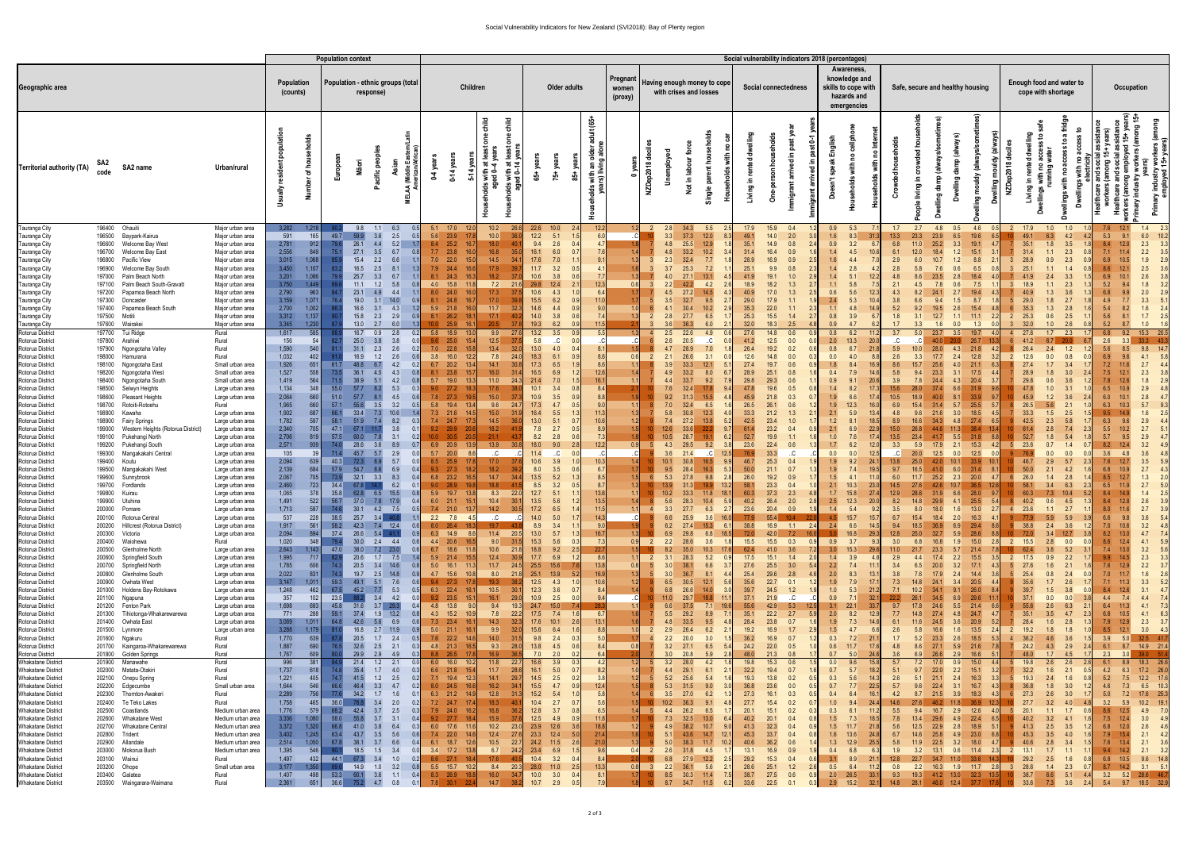## Social Vulnerability Indicators for New Zealand (SVI2018): Bay of Plenty region

|                                                        |                  |                                                        |                                        |                                                                          |                |                | <b>Population context</b> |                                                |                 |                                  |                         |                      |                      |                              |                |                                                      |                                                       |                       |             |                               |                      |                        |                                                                                  | Social vulnerability indicators 2018 (percentages) |               |                                      |                           |                                  |                             |                               |                 |                                               |                            |                   |                             |                                    |
|--------------------------------------------------------|------------------|--------------------------------------------------------|----------------------------------------|--------------------------------------------------------------------------|----------------|----------------|---------------------------|------------------------------------------------|-----------------|----------------------------------|-------------------------|----------------------|----------------------|------------------------------|----------------|------------------------------------------------------|-------------------------------------------------------|-----------------------|-------------|-------------------------------|----------------------|------------------------|----------------------------------------------------------------------------------|----------------------------------------------------|---------------|--------------------------------------|---------------------------|----------------------------------|-----------------------------|-------------------------------|-----------------|-----------------------------------------------|----------------------------|-------------------|-----------------------------|------------------------------------|
| Geographic area                                        |                  |                                                        |                                        | Population<br>Population - ethnic groups (total<br>(counts)<br>response) |                |                |                           |                                                | <b>Children</b> |                                  | Older adults            |                      |                      | Pregnant<br>women<br>(proxy) |                |                                                      | Having enough money to cope<br>with crises and losses |                       |             | Social connectedness          |                      |                        | Awareness,<br>knowledge and<br>skills to cope with<br>hazards and<br>emergencies | Safe, secure and healthy housing                   |               |                                      |                           |                                  | cope with shortage          | Enough food and water to      | Occupation      |                                               |                            |                   |                             |                                    |
| Territorial authority (TA)                             | code             | SA2 name                                               | Urban/rural                            |                                                                          | ৳              | Europe         |                           | 은                                              |                 | $0-4$ year<br>$0-14$ yea         | 듕<br>ੱਕ ਚ<br>¥ੰਦ<br>ਵਾਰ | $\frac{1}{5}$<br>ま 호 | 들 음<br>$65 +$        | 壳                            | ś.             | adult (65+<br>with an o<br>rs) living<br>$rac{8}{5}$ | قع<br>0                                               | NZDep2018 de          | ployer<br>š | Not in lab                    | 오                    | rented<br>ء.<br>త<br>≝ | $\mathbf 5$<br>င်္င                                                              | Σ<br>르.<br>ᄝ<br>£.<br>igra                         | Englis<br>Şpe | with<br>ᅀ<br>eholds                  | 혿<br><b>Jed</b><br>چ<br>C | living                           | ₽<br>ഊ<br>₩<br>١m           | <u>ँ</u><br>ड<br>ਭੂੰ          | NZDep2018       | ᄒ<br>rented<br>옫<br>ingin                     |                            |                   | years)<br>ng 15+<br>ஜ<br>ਛੇ | nustry<br>loyed<br>، ح<br>ᇍ        |
| Tauranga City                                          | 196400           | Ohauiti                                                | Major urban area                       | 3,282                                                                    | 1.21           |                |                           | 6.3                                            |                 | $5.1$ 17.0                       |                         | 10.2                 | 22.6                 | 10.0                         |                | 12.2                                                 |                                                       |                       | 2.8         | 34.3                          | 5.5                  | 17.9                   | 15.9                                                                             | 0.4                                                | 0.9           | 5.3                                  | 1.7                       | 2.7                              | 4.8<br>0.5                  | 4.6                           |                 | 17.9                                          | 1.0<br>1.0                 |                   | 12.1                        | 2.3<br>1.4                         |
| Tauranga City                                          | 196500           | Baypark-Kairua                                         | Major urban area                       | 591                                                                      | 165            | 49.7           | 59.9                      | 2.5<br>3.6                                     |                 | 5.6 23.9                         |                         | 10.0                 | 12.2                 | 5.1                          |                |                                                      |                                                       |                       |             | 37.3                          | 12.0                 | 49.1                   | 14.0                                                                             | 2.0                                                | 1.6           | 8.3                                  | 13.3                      | 23.3<br>23.9                     | 6.5                         | 19.6                          |                 | 49.1                                          | 6.3<br>4.2                 | 5.3               |                             | 6.0                                |
| Tauranga City                                          | 196600           | Welcome Bay West                                       | Major urban area                       | 2,781                                                                    | 912            |                | 26.1                      | 5.2<br>4.4                                     |                 | 8.4 25.2                         |                         | 18.0                 | 9.4                  | 2.6                          |                |                                                      |                                                       |                       | 4.8         | 25.5                          | $12.9$               | 35.1                   |                                                                                  | 14.9<br>0.8                                        | 0.9           | 3.2                                  | 6.8                       | 25.2                             | 3.3                         | 19.1                          |                 | 35.1                                          | 1.8<br>3.5                 | 8.4               |                             | 2.3                                |
| Tauranga City                                          | 196700<br>196800 | Welcome Bay East<br>Pacific View                       | Major urban area                       | 2,556<br>3,015                                                           | 849<br>1,068   |                | 27.1<br>15.4              | 6.7<br>3.5<br>2.2<br>6.6                       |                 | $7.7$ 23.8<br>$7.0$ 22.0         |                         | 16.8<br>14.5         | 16.1<br>17.6         | 6.0<br>7.0                   |                |                                                      |                                                       |                       | 4.8<br>2.3  | 33.2<br>32.4                  | 10.2<br>7.7          | 31.4<br>28.9           | 16.4<br>16.9                                                                     | 0.9<br>0.9                                         | 1.4<br>1.6    | 4.5<br>4.4                           | 6.1<br>2.9                |                                  | 1.2<br>1.2                  | 15.1<br>8.8                   |                 | 31.4<br>28.9                                  | 2.3<br>1.1<br>0.9<br>2.3   |                   |                             | 2.2<br>1.9                         |
| Tauranga City<br>Tauranga City                         | 196900           | Welcome Bay South                                      | Major urban area<br>Major urban area   | 3,450                                                                    | 1,107          |                | 16.5                      | 2.5<br>8.1                                     |                 | 7.9 24.4                         |                         | 17.9                 | 11.7                 | 3.2                          |                |                                                      |                                                       |                       |             | 25.3                          | 7.2                  | 25.1                   |                                                                                  | 9.9                                                |               | 2.8                                  | 2.8                       |                                  |                             | 6.5                           |                 | 25.                                           |                            |                   |                             | 2.5                                |
| Tauranga City                                          | 197000           | Palm Beach North                                       | Major urban area                       | 3,201                                                                    | 1,086          |                | 25.7                      | 3.3<br>6.7                                     |                 | $8.1\quad 24.3$                  |                         | 18.2                 | 10.6                 | 3.8                          |                |                                                      |                                                       |                       |             | 27.1                          | 13.1                 |                        | 19.1                                                                             |                                                    | 1.4           |                                      |                           |                                  |                             |                               |                 |                                               |                            |                   |                             |                                    |
| Tauranga City                                          | 197100           | Palm Beach South-Gravatt                               | Major urban area                       | 3,750                                                                    | 1,449          |                | 11.1                      | 5.8<br>1.2                                     |                 | 4.0 15.8                         |                         | 7.2                  | 29.8                 | 12.4                         |                | 12.3                                                 |                                                       |                       | 2.2         | 42.2                          | 4.2                  | 18.9                   | 18.2                                                                             |                                                    |               | 5.8                                  | 2.1                       | 4.5                              | 0.6                         | 7.5                           |                 | 18.9                                          | 2.3                        |                   |                             |                                    |
| Tauranga City                                          | 197200           | Papamoa Beach North                                    | Major urban area                       | 2,790                                                                    | 963            |                | 23.1                      | 4.4                                            |                 | 8.0 24.0                         |                         | 17.3                 | 10.6                 | 4.3                          |                | 6.4                                                  |                                                       |                       |             | 27.2                          |                      | 40.9                   |                                                                                  |                                                    | 0.6           | 5.6<br>12.3                          |                           |                                  |                             |                               |                 |                                               |                            |                   |                             |                                    |
| Tauranga City                                          | 197300<br>197400 | Doncaster<br>Papamoa Beach South                       | Major urban area<br>Major urban area   | 3,159<br>2,700                                                           | 1,071<br>1,002 |                | 19.0<br>16.6              | $14.0$<br>3.1<br>4.3<br>3.1                    |                 | 8.1 24.8<br>5.9 21.8             |                         | 17.0<br>11.7         | 15.5<br>14.6         | 6.2<br>4.4                   |                |                                                      |                                                       |                       | 4.1         | 32.7<br>30.4                  | 9.5<br>10.2          | 29.0<br>35.3           | 17.9<br>22.0                                                                     | 1.1                                                | 2.4<br>1.1    | 5.3<br>10 <sub>4</sub><br>4.8        | 3.8<br>5.2                | 9.2                              | 1.5<br>2.6                  | 8.7<br>15.4                   |                 | 29.0<br>35.3                                  | 1.8<br>2.7<br>1.3<br>2.8   | 5.4               |                             | 1.6                                |
| Tauranga City<br>Tauranga City                         | 197500           | Motiti                                                 | Major urban area                       | 3,312                                                                    | 1,137          |                | 15.8                      | 2.3<br>2.9                                     |                 | 8.1 26.2                         |                         | 17.1                 | 14.0                 | 3.8                          |                |                                                      |                                                       |                       | 2.8         | 27.7                          | 6.5                  | 25.3                   | 15.5                                                                             | 1.4                                                | 0.8           | 3.9                                  | 1.8                       | 12.7<br>3.1                      | 1.1                         | 11.1                          |                 | 25.3<br>2                                     | 0.6<br>2.5                 | 5.6               |                             | 1.7                                |
| Tauranga City                                          | 197600           | Wairakei                                               | Major urban area                       | 3,345                                                                    | 1,230          |                | 13.0                      | 2.7<br>6.0                                     |                 | 25.9                             |                         |                      | 19.3                 | 6.2                          |                |                                                      |                                                       |                       |             | 36.3                          | 6.0                  | 32.0                   | 18.3                                                                             |                                                    |               |                                      |                           |                                  |                             | 1.3                           |                 | 32.0                                          | 1.0                        |                   |                             |                                    |
| Rotorua District                                       | 197700           | Tui Ridge                                              | Rural                                  | 1,617                                                                    | 585            |                | 16.7                      | 2.8<br>0.9                                     |                 | 5.8 18.9                         |                         | 9.9                  | $13.2$               | 3.5                          |                | 5.5                                                  |                                                       |                       | 2.5         | 22.6                          | 4.9                  | 27.6                   |                                                                                  | 14.8<br>0.6                                        | 0.8           | 6.2                                  | 3.7                       | 5.0                              | 23.7<br>3.5                 | 19.7                          |                 | 27.6                                          | $1.7$ 2.3                  |                   | 9.2                         | 15.3<br>20.5                       |
| Rotorua District<br>Rotorua District                   | 197800<br>197900 | Arahiwi<br>Ngongotaha Valley                           | Rural<br>Rural                         | 156<br>1,590                                                             | 54<br>540      |                | 25.0<br>31.1              | 3.8<br>$2.6\,$<br>2.3                          |                 | $9.6$ 25.0<br>$7.0$ 22.8         |                         | 12.5<br>$13.4$       | 5.8<br>$13.0$        | .C.<br>4.0                   |                |                                                      |                                                       |                       | 2.6         | 20.5<br>28.9                  | .C.<br>7.0           | 41.2<br>26.4           | $12.5$<br>19.2                                                                   | 0.0<br>0.2                                         | 2.0<br>0.8    | 13.3<br>20.0<br>6.7<br>21.8          | C<br>5.9                  | 28.0                             | 4.3                         | 26.7<br>21.8                  |                 | 41.2<br>26.4                                  | 2.4<br>1.2                 | 2.6<br>5.6        |                             |                                    |
| Rotorua District                                       | 198000           | Hamurana                                               | Rural                                  | 1,032                                                                    | 402            |                | 16.9                      | 1.2<br>2.6                                     |                 | 3.8<br>16.0                      |                         | 7.8                  | 18.3                 | 6.1                          |                |                                                      | 0.6                                                   |                       | 2.1         | 26.6                          | 3.1                  | 12.6                   | 14.8                                                                             | 0.0                                                | 0.0           |                                      | 2.6                       |                                  | 2.4                         | 12.8                          |                 | 12.6                                          | 0.0<br>0.8                 |                   |                             |                                    |
| Rotorua District                                       | 198100           | Ngongotaha East                                        | Small urban area                       | 1,926                                                                    | 651            | 61.7           | 48.8                      | 4.2                                            |                 | 6.7<br>20.2                      |                         | 14.1                 | 17.3                 | 6.5                          |                |                                                      |                                                       |                       |             | 33.3                          | 12.1                 | 27.4                   | 19.7                                                                             |                                                    |               |                                      |                           |                                  |                             | 21.1                          |                 | 27.                                           | 3.4                        |                   |                             | 2.7                                |
| Rotorua District                                       | 198200<br>198400 | Ngongotaha West                                        | Small urban area                       | 1,527<br>1,419                                                           | 558<br>564     | 73.5<br>71.5   | 36.1<br>38.9              | 4.3<br>5.1                                     |                 | 8.1 23.8<br>$5.7$ 19.0           |                         | 16.0<br>11.0         | 16.5                 | 6.9                          |                | 12.6<br>16.                                          |                                                       |                       | 44          | 33.2<br>33.7                  | 8.0                  | 28.9<br>29.8           | 25.1<br>29.3                                                                     | 0.8                                                | 0.4           |                                      | 5.8<br>3.9                |                                  |                             | 17.5<br>20.4                  |                 | 28.9<br>29.8                                  | 0.6                        |                   |                             | 2.3                                |
| Rotorua District<br>Rotorua District                   | 198500           | Ngongotaha South<br>Selwyn Heights                     | Small urban area<br>Large urban area   | 1,134                                                                    | 348            | 55.0           | 57.7                      | 4.2<br>5.3                                     |                 | $9.0$ 27.2                       |                         | 17.6                 | 21.4<br>10.1         | 7.0<br>3.4                   |                |                                                      |                                                       |                       |             | 32.4                          | 9.2                  | 47.8                   | 19.6                                                                             | 0.6<br>0.5                                         | 0.9<br>1.4    |                                      |                           |                                  | 4.3                         |                               |                 | 47.8                                          | 1.0                        |                   |                             | 1.8<br>2.9                         |
| Rotorua District                                       | 198600           | Pleasant Heights                                       | Large urban area                       | 2,064                                                                    | 660            | 51.0           | 57.7                      | 4.5                                            |                 | $7.8$ 27.3                       |                         | 15.0                 | 10.9                 | 3.5                          |                |                                                      |                                                       |                       | 9.2         | 31.3                          | 15.5                 | 45.9                   | 21.8                                                                             | 0.3                                                | 1.9           |                                      | 10.5                      |                                  |                             | 33.9                          |                 | 45.9                                          | 1.2                        |                   |                             |                                    |
| Rotorua District                                       | 198700           | Rotoiti-Rotoehu                                        | Rural                                  | 1,965                                                                    | 660            | 57.1           | 55.6                      | 3.2<br>3.5                                     |                 | 5.8<br>19.4                      |                         | 9.6                  | 17.3                 | 4.7                          |                |                                                      |                                                       |                       |             | 32.4                          | 6.5                  | 26.5                   |                                                                                  | 0.6                                                | 1.9           | 12.3                                 |                           |                                  |                             | 25.5                          |                 | 26.5                                          | 5.6<br>2.1                 | 6.3               |                             |                                    |
| Rotorua District<br>Rotorua District                   | 198800<br>198900 | Kawaha<br><b>Fairy Springs</b>                         | Large urban area<br>Large urban area   | 1,902<br>1,782                                                           | 687<br>597     | 66.1<br>58.1   | 33.4<br>51.9              | 10.6<br>7.3<br>8.2<br>7.4                      |                 | $7.3$ 21.6<br>7.4 24.7           |                         | 15.0<br>14.5         | 16.4<br>$13.0$       | 5.5<br>5.1                   |                | 11.3<br>10.6                                         | 1.3<br>1.2                                            |                       | 5.8<br>7.4  | 30.8<br>27.2                  | 12.3<br>13.8<br>5.2  | 33.3<br>42.5           | 21.2<br>23.4                                                                     |                                                    | 2.1<br>1.2    | 5.9<br>13.4<br>18.5                  | 4.8<br>8.9                |                                  | 3.0                         | 18.5<br>27.4                  |                 | 33.3<br>42.5                                  | 1.5<br>2.5<br>2.3          | 6.3               |                             | 1.6<br>2.9                         |
| Rotorua District                                       | 199000           | Western Heights (Rotorua District)                     | Large urban area                       | 2,340                                                                    | 705            | 47.1           | 67.1                      | 3.8                                            |                 | 9.2<br>29.9                      |                         | 18.2                 | 7.8                  | 2.7                          |                |                                                      | 1.5                                                   |                       |             | 33.6                          | 9.                   |                        | 23.2                                                                             |                                                    | 2.1           | 22.9                                 |                           |                                  |                             | 38.4                          |                 |                                               | 2.8                        | 5.5               |                             | 2.7                                |
| Rotorua District                                       | 199100           | Pukehangi North                                        | Large urban area                       | 2,706                                                                    | 819            | 57.5           | 60.0                      | 3.1                                            |                 | 0.0 <sub>1</sub>                 |                         | 21.1                 | 8.2                  | 2.8                          |                |                                                      | 1.8                                                   |                       | 10.5        | 28.7                          | 6.2                  | 52.7                   | 19.9                                                                             |                                                    | 1.0           | 17.4                                 | 13.5                      |                                  | 5.5                         |                               |                 | 52.7                                          | 1.8<br>5.4                 | 5.7               |                             | 2.9                                |
| Rotorua District<br>Rotorua District                   | 199200<br>199300 | Pukehangi South<br>Mangakakahi Central                 | Large urban area<br>Large urban area   | 2,571<br>105                                                             | 939            | 74.0<br>71.4   | 28.6<br>45.7              | 8.9<br>2.9<br>5.7                              |                 | 6.9 20.9<br>5.7<br>20.0          |                         | 13.9<br>.C.          | 18.0<br>11.4         | 9.0                          |                | 12.                                                  | 0.9                                                   |                       | 4.3         | 29.5<br>21.4                  | 9.2<br>12.           | 23.6                   | 22.4<br>33.3                                                                     | 0.6                                                | 1.7<br>0.0    | 12.0<br>12.                          | 3.3                       |                                  | 2.1<br>0.0<br>12.5          | 15.3<br>12.5                  |                 | 23.6                                          | 0.0                        | 3.6               |                             |                                    |
| Rotorua District                                       | 199400           | Koutu                                                  | Large urban area                       | 2,094                                                                    | 639            | 40.3           | 72.3                      | 5.7                                            |                 | 8.5 25.9                         |                         | 17.0                 | 10.6                 | 3.9                          |                | 10                                                   |                                                       |                       | 10.1        | 30.8                          |                      | 46.7                   | 25.3                                                                             | 0.4                                                | 1.9           | 9.2<br>24.                           | 13.8                      |                                  |                             |                               |                 | 46.7                                          | 2.9<br>5.7                 |                   |                             | 3.5                                |
| Rotorua District                                       | 199500           | Mangakakahi West                                       | Large urban area                       | 2,139                                                                    | 684            | 57.9           | 54.7                      | 6.9                                            |                 | $9.3$ 27.3                       |                         | 18.2                 | 8.0                  | 3.5                          |                |                                                      | 1.7                                                   |                       |             | 28.4                          | 5.3                  | 50.0                   | 21.1                                                                             | 0.7                                                | 1.9           |                                      | 9.7                       |                                  | 6.0                         | 31.4                          |                 | 50.                                           | 2.1                        |                   |                             |                                    |
| Rotorua District                                       | 199600           | Sunnybrook                                             | Large urban area                       | 2,067                                                                    | 705            | 73.9           | 32.1                      | 8.3<br>3.3                                     |                 | $6.8$ 23.2                       |                         | 14.7                 | 13.5                 | 5.2                          |                |                                                      |                                                       |                       |             | 27.8                          | 9.8                  | 26.0                   |                                                                                  | 19.2<br>0.9                                        | 1.5           |                                      | 6.0                       | 25.2                             | 2.3                         | 20.0                          |                 | 26.0                                          | 2.8<br>1.4                 | 8.5               |                             | 1.3                                |
| Rotorua District<br>Rotorua District                   | 199700<br>199800 | Fordlands<br>Kuirau                                    | Large urban area<br>Large urban area   | 2,460<br>1,065                                                           | 723<br>378     | 34.4<br>35.8   | 67.8                      | 6.2<br>$\Omega$ .<br>62.8 6.5 15.5             | 0.8             | $9.0\qquad 28.9$<br>$5.9$ 19.7   | 13.8                    | 18.8<br>8.3          | 8.5<br>12.7<br>22.0  | 3.2<br>5.1                   | 0.5<br>11      | 8.7<br>13.6                                          |                                                       |                       | 10.2        | 31.3<br>33.3                  | 13.2<br>18.1<br>11.8 | 58.1<br>60.3           | 23.3<br>37.3                                                                     | 0.4<br>2.3<br>4.8                                  | 2.1           | 10.3<br>23.0<br>$1.7$ $15.8$<br>27.4 | 14.5                      | 12.9 28.6 31.9 6.6 28.0          | 42.6                        | 36.5                          | 9.7             | 58.1<br>60.3                                  | 6.3<br>3.4<br>$7.3$ 10.4   | 6.5<br>8.4<br>5.2 |                             | 2.7<br>1.4                         |
| Rotorua District                                       | 199900           | Utuhina                                                | Large urban area                       | 1,491                                                                    | 522            |                |                           | 56.7 37.0 7.8 17.9<br>0.4                      |                 | 6.0 21.1 15.1                    |                         | $10.4$ 30.1          | $13.5$               | 5.6                          |                |                                                      |                                                       |                       | 5.6         | 28.3 10.4 5.9                 |                      | 40.2                   |                                                                                  | 26.4 2.0                                           |               | 2.5 12.3 20.0                        |                           | 8.2 14.8 29.9 4.1 25.5 5.4       |                             |                               |                 |                                               | 40.2 0.6 4.5 1.            |                   |                             | $2.6$ $3.9$                        |
| Rotorua District                                       |                  | 200000 Pomare                                          | Large urban area                       | 1,713                                                                    | 597            | 74.6           |                           | 30.1 4.2 7.5                                   | 0.5             | 7.4 21.0 13.7                    |                         | 14.2                 | 17.2<br>30.5         | 6.5                          |                | 11.5                                                 | 11                                                    |                       |             | $3.3$ 27.7 6.3                | 2.7                  | 23.6                   |                                                                                  | 20.4 0.9                                           | 1.4           | 5.4<br>9.2                           | 3.5                       | 8.0                              | 18.0<br>1.6                 | 13.0                          | 2.7             | 23.6<br>$\overline{4}$                        | $1.1 \t 2.7$               | 8.0               | 11.6                        | 2.7 3.9                            |
| Rotorua District                                       |                  | 200100 Rotorua Central                                 | Large urban area                       | 537<br>1,917                                                             | <b>228</b>     | 38.5<br>58.2   | 25.7                      | $3.4$ 40.8                                     | 0.6             | 2.2 7.8 4.5<br>8.0 26.4 18.3     |                         | C                    | 14.0                 | 5.0                          |                | 14.3                                                 |                                                       |                       | 6.6         | 25.9                          | 3.6<br>16.           | 77.9                   |                                                                                  | 55.4 10.4                                          | 4.5<br>2.4    | 15.7<br>15.7<br>6.6                  | 6.7                       | 15.4                             | 2.0<br>18.4                 | 16.3                          |                 | 77.9<br>38.8                                  | 5.9<br>5.9<br>$2.4$ $3.6$  | 6.6               | 9.8                         | $3.6$ $5.4$                        |
| Rotorua District<br>Rotorua District                   |                  | 200200 Hillcrest (Rotorua District)<br>200300 Victoria | Large urban area<br>Large urban area   | 2,094                                                                    | 561<br>894     | 37.4           |                           | 42.3 7.4 12.4<br>$26.6$ $5.4$ $41.1$           |                 | 6.3 14.9 8.6                     |                         | 19.7<br>11.4 20.5    | 8.9<br>13.0          | 3.4<br>5.7                   |                | 16.7                                                 | 1.3                                                   |                       | 6.2<br>6.9  | 27.4 15.3<br>$29.8$ 6.8       | - 6.<br>18.5         | 38.8<br>72.0           |                                                                                  | 16.9 1.1 2.4<br>42.0 7.2                           |               | 14.5<br>16.8<br>29.3                 | 9.4<br>12.8               | 18.5 36.9<br>32.7<br>25.0        | 6.9<br>5.9                  | 29.4<br>28.6                  | 10 <sup>1</sup> | 72.0                                          | $3.4$ 12.7                 | 7.0<br>8.2        | 10.6                        | $3.2\quad 4.8$<br>4.7 7.4          |
| Rotorua District                                       |                  | 200400 Waiohewa                                        | Rural                                  | 1,020                                                                    | 348            | 79.4           |                           | $30.0$ 2.4 4.4                                 |                 | 4.4 20.6 16.5                    |                         | 9.0 31.5             | 15.3                 | 5.6                          |                |                                                      |                                                       | 0.9                   | 2.2         | 28.6                          | 3.6                  | 15.5                   |                                                                                  | $15.5$ 0.3                                         | 0.9           | 3.7                                  | 3.0                       | 6.8                              | 1.9<br>16.8                 | 15.0                          |                 | 2 15.5                                        | $2.8\qquad 0.0$            | 8.6               |                             | 4.1 5.9                            |
| Rotorua District                                       |                  | 200500 Glenholme North                                 | Large urban area                       | 2,643                                                                    | 1,143          | 47.0           |                           | 38.0 7.2 23.0                                  |                 | 6.7 18.6 11.8                    |                         | 10.6                 | 18.8<br>21.8         |                              | $9.2$ 2.5      | 22.7                                                 |                                                       | 1.5                   | 8.2         | 35.0                          | 10.3                 | 62.4                   |                                                                                  | 3.6<br>41.0                                        | 3.0           | 15.3<br>29.6                         | 11.0                      | 23.3<br>21.7                     | 5.7                         | 21.4                          | -101            | 62.4                                          | 3.8<br>5.2                 | 7.4               |                             | 3.2<br>5.6                         |
| Rotorua District<br>Rotorua District                   | 200600           | Springfield South<br>200700 Springfield North          | Large urban area<br>Large urban area   | 1,995<br>1,785                                                           | 717<br>606     | - 82.9<br>74.3 |                           | 20.6 1.7 7.5<br>20.5 3.4 14.6                  | 0.8             | 5.9 21.4 15.5<br>5.0 16.1 11.3   |                         | 12.4<br>11.7         | 17.7<br>30.9<br>24.5 | 6.9<br>25.5 15.6             |                | 8.6<br>13.8                                          | 0.8                                                   | 1.1<br>$\overline{2}$ | 3.1<br>3.0  | 28.3<br>38.1                  | 5.2<br>6.6           | 17.5<br>27.6           |                                                                                  | $15.1$ $1.4$<br>2.0<br>$25.5$ 3.0<br>- 5.4         | 1.4<br>2.2    | 3.9<br>4.8<br>7.4<br>11.1            | 2.9<br>3.4                | 4.4<br>6.5                       | 2.2<br>17.4<br>20.0         | 15.5<br>$3.2$ 17.1            | 2               | 17.5<br>27.6                                  | 2.2<br>0.9<br>1.6<br>2.1   | 9.9<br>7.6        |                             | 2.3<br>3.3<br>$2.2$ $3.7$          |
| Rotorua District                                       | 200800           | Glenholme South                                        | Large urban area                       | 2,022                                                                    | 831            | 74.3           |                           | 19.7 2.5 14.8                                  | 0.9             | 4.7 15.6 10.8                    |                         | 8.0 21.8             |                      | 25.1 13.9                    |                | 16.9                                                 | 1.3                                                   |                       | 3.0         | 36.7                          | 8.1                  | 25.4                   | 29.6                                                                             | 2.8                                                | 2.0           | 8.3<br>13.1                          | 3.8                       | 7.6                              | 17.9<br>2.4                 | 14.4                          |                 | 25.4                                          | 0.8<br>2.4                 | 7.0               |                             | $1.6$ 2.6                          |
| Rotorua District                                       |                  | 200900 Owhata West                                     | Large urban area                       | 3,147                                                                    | 1,011          | 59.3           |                           | 49.1 5.1 7.6<br>$-0.6$                         |                 | 9.4 27.3 17.8                    |                         | 19.3                 |                      | $12.5$ $4.3$ $1.0$           |                | 10.6                                                 | 1.2                                                   |                       | 6.5         | 30.5                          | 12.1<br>5.6          | 35.6                   |                                                                                  | $22.7$ 0.1                                         | 1.9           | 7.9<br>17.1                          | 7.3                       | 14.8                             | 24.1<br>3.4                 | 20.5                          |                 | 35.6                                          | 2.6<br>1.7                 | 7.1               |                             | $3.3$ $5.2$                        |
| Rotorua District<br>Rotorua District                   |                  | 201000 Holdens Bay-Rotokawa<br>201100 Ngapuna          | Large urban area<br>Large urban area   | 1,248<br>357                                                             | 462<br>102     |                |                           | 67.5 45.2 7.7 5.3<br>23.5 88.2 3.4 4.2<br>0.0  | 0.5             | 6.3 22.4 16.1<br>$9.2$ 23.5 15.1 |                         | 10.5<br>16.1         | 30.1<br>29.0         | 12.3 3.6 0.7<br>10.9 2.5 0.0 |                |                                                      | 1.4                                                   |                       | 11.0        | 6.8 26.6 14.0<br>$29.7$ 18.8  | 3.0<br>$-11.$        | 39.7<br>37.1           | 21.9                                                                             | 24.5 1.2<br>C                                      | 1.0<br>0.9    | 5.3<br>21.2<br>7.1<br>32.1           | 7.1                       | 10.2<br>34.5<br>26.1             | 9.1<br>34.1<br>6.9          | 26.0<br>29.6                  | $-11.1$         | 39.7<br>37.1                                  | $1.5$ $3.8$<br>0.0<br>0.0  | 8.4<br>4.4        | 7.4                         | $3.1$ 4.7<br>4.4 7.4               |
| Rotorua District                                       |                  | 201200 Fenton Park                                     | Large urban area                       | 1,698                                                                    | 693            |                |                           | 45.8 31.6 3.7 29.3<br>0.4                      |                 | 4.8 13.8 9.0                     |                         | 9.4                  | 19.3                 | 24.7 15.0 7.4                |                |                                                      | 1.1                                                   |                       |             | 6.6 37.5 7.1 19.6             |                      | 55.6                   |                                                                                  | 42.9 5.3 12.5                                      |               | $3.1 \quad 22.1$<br>33.7             | 9.7                       | 17.8                             | 24.6<br>5.5                 | 21.4                          | 6.6             | 55.6                                          | 2.6<br>6.3                 | 6.4               |                             | 4.1 7.3                            |
| Rotorua District                                       |                  | 201300 Tihiotonga-Whakarewarewa                        | Large urban area                       | 771                                                                      | 288            | 59.1           |                           | 37.4 1.9 13.2                                  | 0.8             | 4.3 15.2 10.9                    |                         | 7.8                  | 22.2                 | $17.5$ $7.4$                 |                | 6.                                                   |                                                       |                       |             | 5.5 29.2 8.9                  |                      | 35.1                   |                                                                                  | $22.2$ 2.7                                         |               | $2.0\qquad 8.2$<br>12.9              | 7.7                       | 14.8                             | 27.4                        | $4.8$ 24.7                    |                 | 35.1                                          | 3.5<br>4.7                 | 6.8<br>2.3        | 10.5                        | 4.1 6.3                            |
| Rotorua District<br>Rotorua District                   |                  | 201400 Owhata East<br>201500 Lynmore                   | Large urban area<br>Large urban area   | 3,069<br>3,288                                                           | 1,011<br>1,179 | 64.8           |                           | 42.6 5.6 6.9<br>16.8 2.7 11.9                  | 0.6<br>0.9      | 7.3 23.4 16.1<br>$5.0$ 21.1 16.1 |                         | 14.3<br>9.9          | 32.3<br>32.0         | 17.6 10.1<br>15.6 6.4        | 2.6<br>$-1.6$  | 13.1<br>8.8                                          | 1.0                                                   |                       | 4.8<br>2.9  | 33.5 9.5<br>26.4 6.2          | $\overline{2}$ .     | 28.4<br>19.2           | 23.8                                                                             | 0.7<br>$16.9$ 1.7<br>2.9                           | 1.9<br>1.5    | 7.3<br>14.6<br>4.7<br>6.6            | 6.1<br>2.6                | 24.5<br>11.6<br>16.6<br>5.8      | 3.6                         | 20.9<br>$1.6$ $13.5$          | 2               | 28.4<br>19.2                                  | 1.6<br>2.8<br>1.8<br>1.8   | 1.3               | 7.9 12.9                    | $2.3$ $3.7$<br>8.5 12.1 3.0 4.3    |
| Rotorua District                                       |                  | 201600 Ngakuru                                         | Rural                                  | 1,770                                                                    | 639            |                |                           | 20.5 1.7 2.4                                   | 0.5             | 7.6 22.2 14.6                    |                         | 14.0                 | 31.5                 | $9.8$ 2.4                    | - 0.3          |                                                      |                                                       |                       |             | $2.2$ $20.0$ $3.0$            |                      | 36.2                   |                                                                                  | 16.9 0.7                                           |               | $0.3$ 7.2 21.1                       | 1.7                       | 5.2                              |                             | 23.3 2.6 18.5                 |                 | $4 \quad 36.2$                                | $4.6\qquad 3.6$            | 1.5               |                             | 3.9 5.0 32.5 41.7                  |
| Rotorua District                                       |                  | 201700 Kaingaroa-Whakarewarewa                         | Rural                                  | 1,887                                                                    | 690            |                |                           | $32.6$ $2.5$ $2.1$<br>0.3                      |                 | 4.8 21.3 16.5                    |                         | 9.3                  | 28.0                 | 13.8 4.5                     | 0.6            |                                                      | 0.8                                                   |                       |             | $3.2$ 27.1 6.5                |                      | 24.2                   | 22.0                                                                             | 0.5                                                |               | $0.6$ 11.7<br>17.6                   | 4.8                       | 8.6                              | 27.1 5.9 21.6               |                               |                 | 24.2                                          | $4.3$ 2.9                  |                   |                             | 6.1 8.7 14.9 21.4                  |
| Rotorua District<br><b>Whakatane District</b>          |                  | 201800 Golden Springs<br>201900 Manawahe               | Rural<br>Rural                         | 1,767<br>996                                                             | 609<br>381     | 84.9           |                           | $29.9$ 2.9 4.9 0.3<br>21.4 1.2 2.1             |                 | 8.8 26.5 17.8<br>6.0 16.0 10.2   |                         | 16.9<br>11.8         | 16.6<br>22.7         | $7.0$ $2.0$ $0.2$<br>3.9     | $\overline{0}$ |                                                      | 1.2                                                   |                       | 3.2         | 3.0 20.8 5.9<br>28.0          | 4.2                  | 48.0<br>19.8           | 15.3                                                                             | $21.3$ 0.8<br>0.6                                  | 0.7<br>0.0    | 5.0<br>24.6<br>9.6<br>15.8           | 3.6<br>5.7                | 7.2<br>17.0                      | 0.9                         | 6.9 26.6 2.9 16.6 5.1<br>15.0 | 4.4             | 48.0<br>19.8                                  | $1.7$ $4.5$<br>$2.6$ $2.6$ | 6.1               |                             | 2.3 3.0 39.0 51.4<br>8.9 18.3 26.6 |
| Whakatane District                                     |                  | 202000 Matata-Otakiri                                  | Rural                                  | 1,737                                                                    | 618            | 74.8           | 35.4                      | $1.7$ 4.0                                      | 0.3             | 6.6 21.8 15.4                    |                         | 11.7                 | 16.1<br>28.6         | 5.0                          | 0.7            |                                                      | 1.0                                                   |                       | 4.4         | 29.1                          | 6.1<br>-2.           | 32.2                   | 19.4                                                                             | 0.7                                                | 0.7           | 5.7<br>18.2                          | 5.1                       | 9.7                              | 22.0<br>2.2                 | 15.1                          | 3.2             | 32.2                                          | 1.6<br>2.1                 | 4.2               |                             | 6.3 17.2 26.0                      |
| <b>Whakatane District</b>                              |                  | 202100 Onepu Spring                                    | Rural                                  | 1,221                                                                    | 405            | 74.7           | 41.5                      | $1.2$ 2.5                                      | 0.2             | 7.1 19.4 12.3                    |                         | 14.1                 | 14.5<br>29.7         | $2.5$ 0.2                    |                | 3.8                                                  | 1.2                                                   |                       |             | 5.2 25.6 5.4                  |                      | 19.3                   |                                                                                  | 13.8<br>0.2<br>0.5                                 | 0.3           | 5.6<br>14.3                          | 2.6                       | 5.1                              | 21.1 2.4 16.3               |                               | 3.3             | 19.3                                          | 2.4<br>1.6                 | 5.2               |                             | 7.5 12.2 17.6                      |
| <b>Whakatane District</b><br>Whakatane District        | 202200<br>202300 | Edgecumbe<br>Thornton-Awakeri                          | Small urban area<br>Rural              | 1,644<br>2,289                                                           | 546<br>756     | 66.6<br>77.6   | 34.2                      | 46.4 3.3 4.7<br>1.6<br>1.7<br>$\overline{0}$ . | 0.2             | 8.0 24.5 16.6<br>6.3 21.2 14.9   |                         | 16.2<br>12.8         | 15.5<br>34.1<br>15.2 | 4.7<br>5.4                   | 0.9            | 12.4<br>5.8                                          | 1.5<br>1.4                                            |                       | 5.3<br>3.5  | $31.5$ 9.0<br>27.0            | 6.2                  | 36.8<br>27.3           | 23.6<br>16.1                                                                     | 0.0<br>0.5<br>0.3<br>0.5                           | 0.7<br>0.4    | 7.7<br>22.5<br>6.4<br>16.1           | 5.7<br>4.2                | 9.6<br>8.7                       | $22.4$ 3.1<br>21.5 3.9 18.3 | 16.7                          | $-4.3$          | 36.8<br>27.3                                  | 1.8<br>3.0<br>2.6<br>3.0   | 4.6<br>5.0        |                             | 7.3 6.5 10.3<br>7.2 17.6 25.3      |
| <b>Whakatane District</b>                              |                  | 202400 Te Teko Lakes                                   | Rural                                  | 1,758                                                                    | 465            | 36.0           | 78.8                      | $3.4$ 2.0                                      | 0.2             | 7.2 24.7 17.4                    |                         | 18.3                 | 10.4                 | 2.7                          | 0.7            | 5.6                                                  | 1.5                                                   |                       | 10.2        | 36.3                          | 9.1                  | 27.7                   | 15.4                                                                             | 0.2<br>0.7                                         | 1.0           | 9.4<br>24.4                          | 14.6                      | 27.6                             |                             | 46.2 11.8 36.9 12.3           |                 | 27.7                                          | 3.2<br>4.0                 | 3.2               | 5.9                         | $10.2$ 19.1                        |
| <b>Whakatane District</b>                              | 202500           | Coastlands                                             | Medium urban area                      | 1,776                                                                    | 579            | 68.2           | 42.4                      | $3.7\qquad 2.5$                                | 0.3             | 7.9 24.0 16.2                    |                         | 16.8                 | 12.8                 | 3.7                          | 0.8            | 6.5                                                  | 1.4                                                   |                       | 4.4         | 26.2                          | 6.5                  | 20.1                   | 15.1                                                                             | 0.2<br>0.3                                         | 0.3           | 6.1<br>11.2                          | 5.5                       | 9.4                              | $16.7$ 2.9                  | 12.6                          |                 | 20.1                                          | 1.7<br>1.1                 | 8.6               | 12.5                        | 4.9 7.0                            |
| Whakatane District                                     | 202600           | Whakatane West                                         | Medium urban area                      | 3,336                                                                    | 1,080          | 58.0<br>66.8   | 55.8<br>41.0              | 3.7<br>3.1<br>$3.8\qquad 6.4$                  | 0.4             | 9.2 27.7 18.4                    |                         | 15.9                 | 12.5<br>23.0         | 4.9<br>23.9 12.6             | 3.6            | 11.8<br>18.8                                         | 1.7 <sup>1</sup>                                      |                       | 7.3<br>4.9  | 32.5<br>38.2 10.7             | 13.0<br>9.0          | 40.2                   | 20.1                                                                             | 0.4<br>0.4                                         | 1.5           | 7.3<br>18.5<br>$1.5$ 11.7            | 7.8                       | 13.4<br>29.6                     | 4.9                         | 22.4                          | $-5.1$          | 40.2<br>41.3                                  | 3.2<br>4.1                 | 7.5<br>6.8        | 12.4                        | $3.0$ 4.9<br>$2.6$ 4.6             |
| <b>Whakatane District</b><br><b>Whakatane District</b> | 202800           | 202700 Whakatane Central<br>Trident                    | Medium urban area<br>Medium urban area | 3,372<br>3,402                                                           | 1,320<br>1,245 | 63.4           | 43.7                      | 3.5<br>5.6                                     | 0.3<br>0.6      | 6.0 17.6 11.6<br>7.4 22.0 14.6   |                         | 10.2<br>12.4         | 23.3<br>27.6         | 12.4                         |                | 21.4                                                 | 1.2<br>1.6                                            |                       | 5.1         | 43.6 14.7                     | 12.                  | 41.3<br>45.3           | 32.3<br>33.7                                                                     | 0.9<br>0.4                                         | 1.6           | 21.8<br>13.6<br>24.8                 | 5.6<br>6.7                | 12.5<br>14.6                     | 25.8                        | 22.9 2.8 18.9<br>$4.9$ 23.0   |                 | 45.3                                          | 2.5<br>3.5<br>3.5<br>4.0   | 7.9               | 12.0                        | $2.1$ 4.2                          |
| <b>Whakatane District</b>                              | 202900           | Allandale                                              | Medium urban area                      | 2,514                                                                    | 1,050          | 67.8           | 38.1                      | 6.6<br>3.7                                     | 0.4             | 6.1 18.7 12.6                    |                         | 10.5                 | 22.7                 | 24.2 11.5                    | 2.6            | 21.0                                                 | 1.3                                                   |                       | 5.0         | 38.3                          | 11.7<br>10.2         | 40.6                   | 36.2                                                                             | 0.6                                                |               | $1.3$ $12.9$<br>25.5                 | 5.8                       | 11.9                             | 22.5 3.2 18.0               |                               |                 | 40.6                                          | 2.8<br>3.4                 | 7.6               | 13.4                        | $2.1$ $3.6$                        |
| <b>Whakatane District</b>                              | 203000           | Mokorua Bush                                           | Medium urban area                      | 1,395                                                                    | 546            |                | 18.5                      | $1.5$ $3.4$<br>0.0                             |                 | 3.4 17.2 13.8                    |                         | 6.7                  | 23.4<br>24.2         | 6.9                          | 0.             | 9.6                                                  | 0.4                                                   | $\overline{2}$        |             | 2.6 31.8 4.5                  |                      | 13.1                   | 16.9                                                                             | 0.9                                                | 0.4           | 6.8<br>6.3                           | 1.9                       | 3.2                              |                             | 13.1 0.6 11.4 2.3             | $\overline{2}$  | 13.1                                          | 1.7<br>1.1                 |                   | $9.4$ 14.2                  | $2.1$ $3.2$                        |
| <b>Whakatane District</b><br><b>Whakatane District</b> | 203100<br>203200 | Wainui<br>Ohope                                        | Rural<br>Small urban area              | 1,497<br>3,177                                                           | 432<br>1,350   |                | 44.1 67.3<br>14.9         | 1.0<br>3.4<br>$1.0\qquad 3.2$                  | 0.2             | 8.6 27.1 18.4<br>5.5 15.7 10.2   |                         | 17.6<br>8.4 20.3     | 10.4                 | 3.2<br>28.0 11.0             | 2.5            | 8.4<br>13.3                                          |                                                       | 0.8<br>3 <sup>1</sup> |             | 6.8 27.9 12.2<br>2.2 36.1 5.6 |                      | 29.2<br>28.6           | 15.3<br>25.1                                                                     | 0.4<br>0.6<br>1.2                                  | 3.1<br>0.5    | 8.9<br>21.1<br>6.4<br>11.2           | 0.8                       | 12.8 22.7 34.7 11.0 33.6 14.3 10 |                             | 2.2 16.3 1.9 11.7 2.8         | - 3             | 29.2<br>28.6                                  | 2.5<br>1.6<br>$1.4$ 2.3    | 0.8               | 6.8 10.5                    | 9.6 14.8<br>8.7 14.2 3.1 5.1       |
| <b>Whakatane District</b>                              |                  | 203400 Galatea                                         | Rural                                  | 1,407                                                                    | 498            |                |                           | 53.3 60.1 3.6 1.1                              | 0.4             | 8.3 26.9 18.8                    |                         | 16.0                 | 34.7                 | $10.0\qquad 3.0$             | 0.4            | 8.                                                   | 1.7 <sub>1</sub>                                      |                       |             | 8.5 30.3 11.4                 | 7.5                  | 38.7                   | 27.5                                                                             | 0.6<br>0.9                                         |               | $2.0\qquad 26.5$<br>33.1             |                           | 9.3 19.3 41.2 13.0 32.3 13.5 10  |                             |                               |                 | 38.7                                          | 6.6<br>5.1                 | 4.4               |                             | 3.2 5.2 28.6 46.7                  |
| <b>Whakatane District</b>                              |                  | 203500 Waingarara-Waimana                              | Rural                                  | 2,361                                                                    | 651            |                | 36.6 75.2                 | 4.7 0.8                                        | 0.1             | 7.8 30.1 22.4                    |                         | 14.7                 | 38.2                 | $10.7$ 2.9                   |                |                                                      |                                                       |                       |             | 8.7 34.7 11.5                 |                      | 33.6                   |                                                                                  | $22.5$ 0.1<br>0.3                                  |               | $2.9$ 15.2<br>32.1                   |                           |                                  |                             |                               |                 | 14.8 28.1 46.0 12.4 37.7 17.6 10 33.6 7.3 3.6 |                            | 2.4               |                             | 5.4 9.7 18.5 32.9                  |